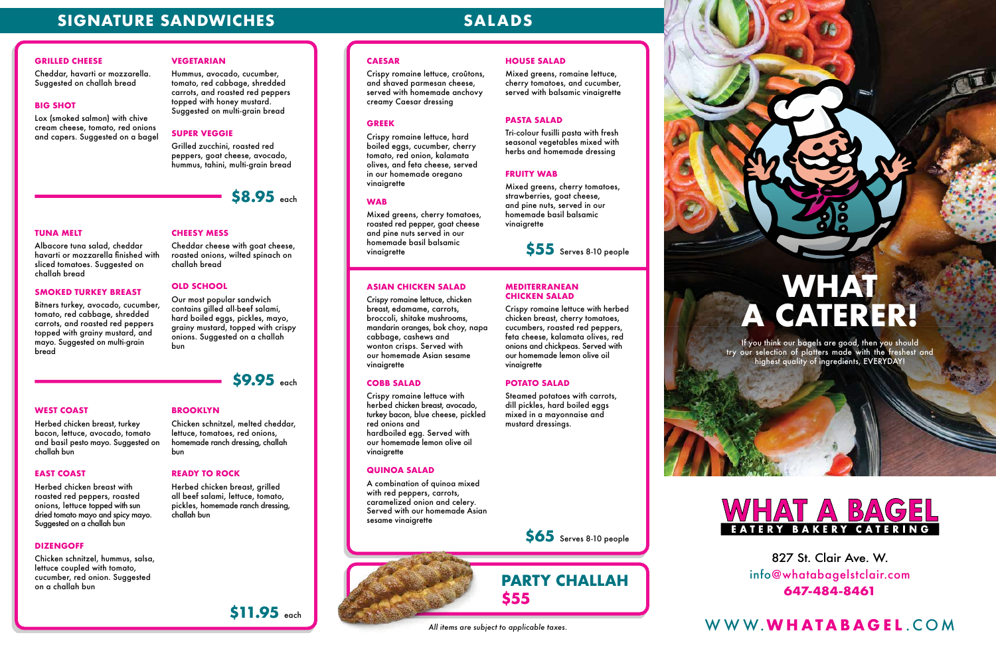827 St. Clair Ave. W. info@whatabagelstclair.com **647-484-8461**

### **CAESAR**

Crispy romaine lettuce, croûtons, and shaved parmesan cheese, served with homemade anchovy creamy Caesar dressing

#### **GREEK**

Crispy romaine lettuce, hard boiled eggs, cucumber, cherry tomato, red onion, kalamata olives, and feta cheese, served in our homemade oregano vinaigrette

#### **WAB**

Mixed greens, cherry tomatoes, roasted red pepper, goat cheese and pine nuts served in our homemade basil balsamic vinaigrette

#### **HOUSE SALAD**

Mixed greens, romaine lettuce, cherry tomatoes, and cucumber, served with balsamic vinaigrette

#### **PASTA SALAD**

Tri-colour fusilli pasta with fresh seasonal vegetables mixed with herbs and homemade dressing

#### **FRUITY WAB**

Mixed greens, cherry tomatoes, strawberries, goat cheese, and pine nuts, served in our homemade basil balsamic vinaigrette

#### **ASIAN CHICKEN SALAD**

Crispy romaine lettuce, chicken breast, edamame, carrots, broccoli, shitake mushrooms, mandarin oranges, bok choy, napa cabbage, cashews and wonton crisps. Served with our homemade Asian sesame vinaigrette

#### **COBB SALAD**

Crispy romaine lettuce with herbed chicken breast, avocado, turkey bacon, blue cheese, pickled red onions and hardboiled egg. Served with our homemade lemon olive oil vinaigrette

#### **QUINOA SALAD**

A combination of quinoa mixed with red peppers, carrots, caramelized onion and celery. Served with our homemade Asian sesame vinaigrette

#### **MEDITERRANEAN CHICKEN SALAD**

Herbed chicken breast with roasted red peppers, roasted onions, lettuce topped with sun dried tomato mayo and spicy mayo. Suggested on a challah bun

Crispy romaine lettuce with herbed chicken breast, cherry tomatoes, cucumbers, roasted red peppers, feta cheese, kalamata olives, red onions and chickpeas. Served with our homemade lemon olive oil vinaigrette

#### **POTATO SALAD**

Steamed potatoes with carrots, dill pickles, hard boiled eggs mixed in a mayonnaise and mustard dressings.



## **SIGNATURE SANDWICHES** SALADS

#### **GRILLED CHEESE**

Cheddar, havarti or mozzarella. Suggested on challah bread

#### **BIG SHOT**

Lox (smoked salmon) with chive cream cheese, tomato, red onions and capers. Suggested on a bagel

#### **VEGETARIAN**

Hummus, avocado, cucumber, tomato, red cabbage, shredded carrots, and roasted red peppers topped with honey mustard. Suggested on multi-grain bread

### **SUPER VEGGIE**

Grilled zucchini, roasted red peppers, goat cheese, avocado, hummus, tahini, multi-grain bread

#### **TUNA MELT**

Albacore tuna salad, cheddar havarti or mozzarella finished with sliced tomatoes. Suggested on challah bread

#### **SMOKED TURKEY BREAST**

Bitners turkey, avocado, cucumber, tomato, red cabbage, shredded carrots, and roasted red peppers topped with grainy mustard, and mayo. Suggested on multi-grain bread

## **CHEESY MESS**

Cheddar cheese with goat cheese, roasted onions, wilted spinach on challah bread

#### **OLD SCHOOL**

Our most popular sandwich contains gilled all-beef salami, hard boiled eggs, pickles, mayo, grainy mustard, topped with crispy onions. Suggested on a challah bun

#### **WEST COAST**

Herbed chicken breast, turkey bacon, lettuce, avocado, tomato and basil pesto mayo. Suggested on challah bun

#### **EAST COAST**

#### **DIZENGOFF**

Chicken schnitzel, hummus, salsa, lettuce coupled with tomato, cucumber, red onion. Suggested on a challah bun

#### **BROOKLYN**

Chicken schnitzel, melted cheddar, lettuce, tomatoes, red onions, homemade ranch dressing, challah bun

#### **READY TO ROCK**

Herbed chicken breast, grilled all beef salami, lettuce, tomato, pickles, homemade ranch dressing, challah bun

> **PARTY CHALLAH \$55**

# **WHAT A CATERER!**

If you think our bagels are good, then you should try our selection of platters made with the freshest and highest quality of ingredients, EVERYDAY!



**\$55** Serves 8-10 people

**\$65** Serves 8-10 people

## *All items are subject to applicable taxes.* WWW.**WHATABAGEL** .COM

**\$8.95** each



**\$11.95** each